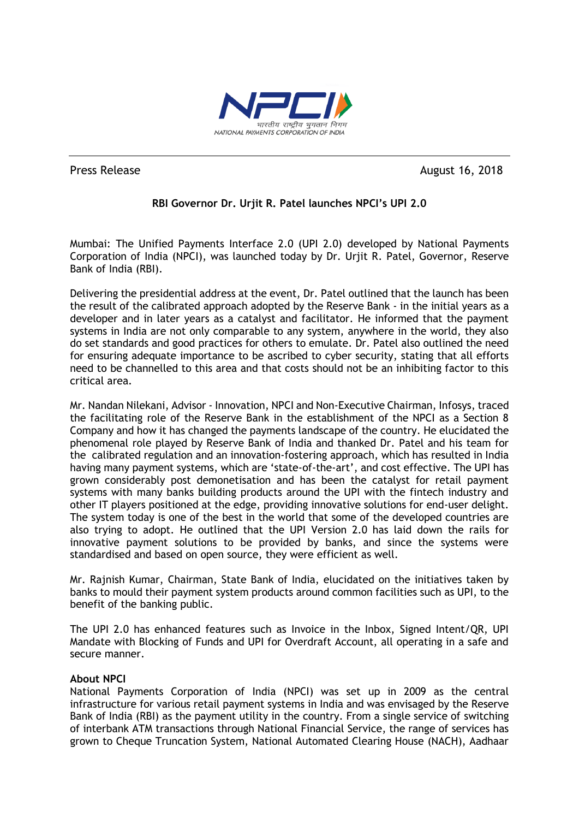

Press Release August 16, 2018

## **RBI Governor Dr. Urjit R. Patel launches NPCI's UPI 2.0**

Mumbai: The Unified Payments Interface 2.0 (UPI 2.0) developed by National Payments Corporation of India (NPCI), was launched today by Dr. Urjit R. Patel, Governor, Reserve Bank of India (RBI).

Delivering the presidential address at the event, Dr. Patel outlined that the launch has been the result of the calibrated approach adopted by the Reserve Bank - in the initial years as a developer and in later years as a catalyst and facilitator. He informed that the payment systems in India are not only comparable to any system, anywhere in the world, they also do set standards and good practices for others to emulate. Dr. Patel also outlined the need for ensuring adequate importance to be ascribed to cyber security, stating that all efforts need to be channelled to this area and that costs should not be an inhibiting factor to this critical area.

Mr. Nandan Nilekani, Advisor - Innovation, NPCI and Non-Executive Chairman, Infosys, traced the facilitating role of the Reserve Bank in the establishment of the NPCI as a Section 8 Company and how it has changed the payments landscape of the country. He elucidated the phenomenal role played by Reserve Bank of India and thanked Dr. Patel and his team for the calibrated regulation and an innovation-fostering approach, which has resulted in India having many payment systems, which are 'state-of-the-art', and cost effective. The UPI has grown considerably post demonetisation and has been the catalyst for retail payment systems with many banks building products around the UPI with the fintech industry and other IT players positioned at the edge, providing innovative solutions for end-user delight. The system today is one of the best in the world that some of the developed countries are also trying to adopt. He outlined that the UPI Version 2.0 has laid down the rails for innovative payment solutions to be provided by banks, and since the systems were standardised and based on open source, they were efficient as well.

Mr. Rajnish Kumar, Chairman, State Bank of India, elucidated on the initiatives taken by banks to mould their payment system products around common facilities such as UPI, to the benefit of the banking public.

The UPI 2.0 has enhanced features such as Invoice in the Inbox, Signed Intent/QR, UPI Mandate with Blocking of Funds and UPI for Overdraft Account, all operating in a safe and secure manner.

## **About NPCI**

National Payments Corporation of India (NPCI) was set up in 2009 as the central infrastructure for various retail payment systems in India and was envisaged by the Reserve Bank of India (RBI) as the payment utility in the country. From a single service of switching of interbank ATM transactions through National Financial Service, the range of services has grown to Cheque Truncation System, National Automated Clearing House (NACH), Aadhaar